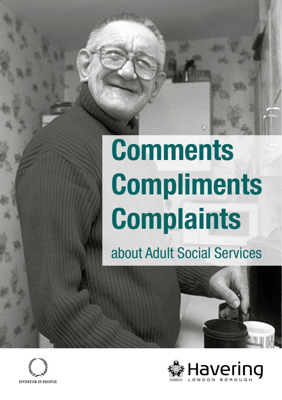# **Comments Compliments Complaints**

about Adult Social Services



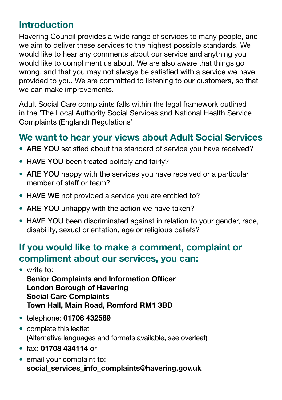# **Introduction**

Havering Council provides a wide range of services to many people, and we aim to deliver these services to the highest possible standards. We would like to hear any comments about our service and anything you would like to compliment us about. We are also aware that things go wrong, and that you may not always be satisfed with a service we have provided to you. We are committed to listening to our customers, so that we can make improvements.

Adult Social Care complaints falls within the legal framework outlined in the 'The Local Authority Social Services and National Health Service Complaints (England) Regulations'

### **We want to hear your views about Adult Social Services**

- ARE YOU satisfed about the standard of service you have received?
- HAVE YOU been treated politely and fairly?
- ARE YOU happy with the services you have received or a particular member of staff or team?
- HAVE WE not provided a service you are entitled to?
- ARE YOU unhappy with the action we have taken?
- HAVE YOU been discriminated against in relation to your gender, race, disability, sexual orientation, age or religious beliefs?

# **If you would like to make a comment, complaint or compliment about our services, you can:**

- **Senior Complaints and Information Officer** • write to: **London Borough of Havering Social Care Complaints Town Hall, Main Road, Romford RM1 3BD**
- telephone: **01708 432589**
- complete this leaflet (Alternative languages and formats available, see overleaf)
- fax: **01708 434114** or
- email your complaint to: **social\_services\_info\_complaints@havering.gov.uk**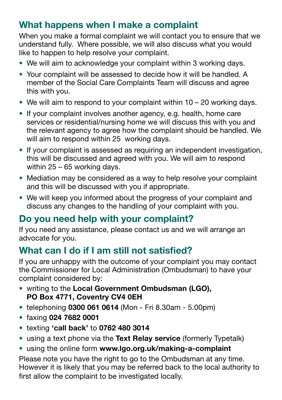# **What happens when I make a complaint**

When you make a formal complaint we will contact you to ensure that we understand fully. Where possible, we will also discuss what you would like to happen to help resolve your complaint.

- We will aim to acknowledge your complaint within 3 working days.
- Your complaint will be assessed to decide how it will be handled. A member of the Social Care Complaints Team will discuss and agree this with you.
- We will aim to respond to your complaint within 10 20 working days.
- If your complaint involves another agency, e.g. health, home care services or residential/nursing home we will discuss this with you and the relevant agency to agree how the complaint should be handled. We will aim to respond within 25 working days.
- If your complaint is assessed as requiring an independent investigation, this will be discussed and agreed with you. We will aim to respond within 25 – 65 working days.
- Mediation may be considered as a way to help resolve your complaint and this will be discussed with you if appropriate.
- We will keep you informed about the progress of your complaint and discuss any changes to the handling of your complaint with you.

# **Do you need help with your complaint?**

If you need any assistance, please contact us and we will arrange an advocate for you.

#### **What can I do if I am still not satisfied?**

If you are unhappy with the outcome of your complaint you may contact the Commissioner for Local Administration (Ombudsman) to have your complaint considered by:

- writing to the **Local Government Ombudsman (LGO), PO Box 4771, Coventry CV4 0EH**
- telephoning **0300 061 0614** (Mon Fri 8.30am 5.00pm)
- faxing **024 7682 0001**
- texting **'call back'** to **0762 480 3014**
- using a text phone via the **Text Relay service** (formerly Typetalk)
- using the online form **<www.lgo.org.uk/making-a-complaint>**

Please note you have the right to go to the Ombudsman at any time. However it is likely that you may be referred back to the local authority to first allow the complaint to be investigated locally.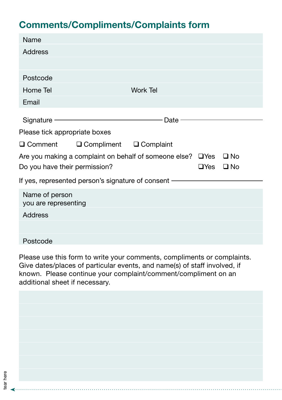# **Comments/Compliments/Complaints form**

| Name                                                                                                                                      |                                                                                                                                                                                                                                |                 |  |  |  |  |
|-------------------------------------------------------------------------------------------------------------------------------------------|--------------------------------------------------------------------------------------------------------------------------------------------------------------------------------------------------------------------------------|-----------------|--|--|--|--|
| <b>Address</b>                                                                                                                            |                                                                                                                                                                                                                                |                 |  |  |  |  |
|                                                                                                                                           |                                                                                                                                                                                                                                |                 |  |  |  |  |
| Postcode                                                                                                                                  |                                                                                                                                                                                                                                |                 |  |  |  |  |
| Home Tel                                                                                                                                  |                                                                                                                                                                                                                                | <b>Work Tel</b> |  |  |  |  |
| Email                                                                                                                                     |                                                                                                                                                                                                                                |                 |  |  |  |  |
|                                                                                                                                           | Signature – Engineering and Signature – Engineering and Signature and Signature and Signature and Signature and Signature and Signature and Signature and Signature and Signature and Signature and Signature and Signature an | Date $-$        |  |  |  |  |
| Please tick appropriate boxes                                                                                                             |                                                                                                                                                                                                                                |                 |  |  |  |  |
|                                                                                                                                           | $\Box$ Comment $\Box$ Compliment $\Box$ Complaint                                                                                                                                                                              |                 |  |  |  |  |
| Are you making a complaint on behalf of someone else? $\Box$ Yes<br>$\Box$ No<br>Do you have their permission?<br>$\Box$ Yes<br>$\Box$ No |                                                                                                                                                                                                                                |                 |  |  |  |  |
| If yes, represented person's signature of consent -                                                                                       |                                                                                                                                                                                                                                |                 |  |  |  |  |
| Name of person<br>you are representing                                                                                                    |                                                                                                                                                                                                                                |                 |  |  |  |  |
| <b>Address</b>                                                                                                                            |                                                                                                                                                                                                                                |                 |  |  |  |  |
|                                                                                                                                           |                                                                                                                                                                                                                                |                 |  |  |  |  |
| Postcode                                                                                                                                  |                                                                                                                                                                                                                                |                 |  |  |  |  |

Please use this form to write your comments, compliments or complaints. Give dates/places of particular events, and name(s) of staff involved, if known. Please continue your complaint/comment/compliment on an additional sheet if necessary.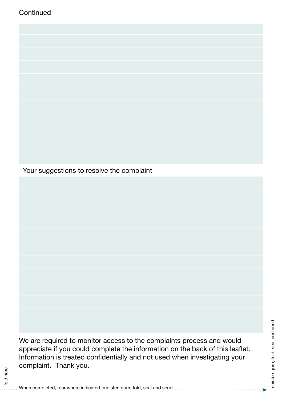

Your suggestions to resolve the complaint

We are required to monitor access to the complaints process and would appreciate if you could complete the information on the back of this leafet. Information is treated confdentially and not used when investigating your complaint. Thank you.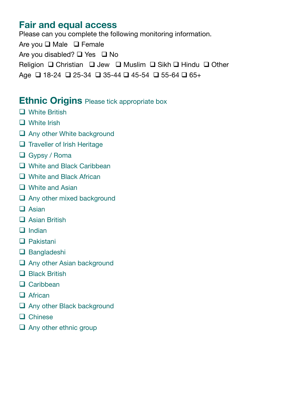#### **Fair and equal access**

Are you □ Male □ Female Please can you complete the following monitoring information. Are you disabled?  $\Box$  Yes  $\Box$  No Religion  $\Box$  Christian  $\Box$  Jew  $\Box$  Muslim  $\Box$  Sikh  $\Box$  Hindu  $\Box$  Other Age **q** 18-24 **q** 25-34 **q** 35-44 **q** 45-54 **q** 55-64 **q** 65+

#### **Ethnic Origins** Please tick appropriate box

- $\Box$  White British
- $\Box$  White Irish
- $\Box$  Any other White background
- $\Box$  Traveller of Irish Heritage
- $\Box$  Gypsy / Roma
- $\Box$  White and Black Caribbean
- $\Box$  White and Black African
- $\Box$  White and Asian
- $\Box$  Any other mixed background
- $\Box$  Asian
- $\Box$  Asian British
- $\Box$  Indian
- $\Box$  Pakistani
- $\Box$  Bangladeshi
- $\Box$  Any other Asian background
- $\Box$  Black British
- $\Box$  Caribbean
- $\Box$  African
- $\Box$  Any other Black background
- $\Box$  Chinese
- $\Box$  Any other ethnic group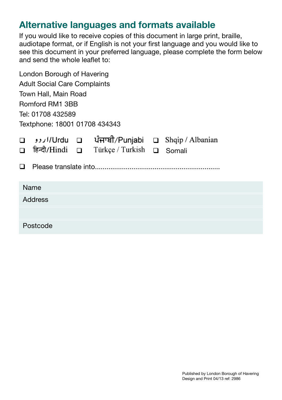### **Alternative languages and formats available**

If you would like to receive copies of this document in large print, braille, audiotape format, or if English is not your frst language and you would like to see this document in your preferred language, please complete the form below and send the whole leaflet to:

| London Borough of Havering          |                  |  |                                                                          |        |        |  |  |  |
|-------------------------------------|------------------|--|--------------------------------------------------------------------------|--------|--------|--|--|--|
| <b>Adult Social Care Complaints</b> |                  |  |                                                                          |        |        |  |  |  |
| Town Hall, Main Road                |                  |  |                                                                          |        |        |  |  |  |
| Romford RM1 3BB                     |                  |  |                                                                          |        |        |  |  |  |
| Tel: 01708 432589                   |                  |  |                                                                          |        |        |  |  |  |
| Textphone: 18001 01708 434343       |                  |  |                                                                          |        |        |  |  |  |
|                                     | □ हिन्दी/Hindi □ |  | real (Punjabi □ Shqip / Albanian □ Charian □ Chanian<br>Türkçe / Turkish | $\Box$ | Somali |  |  |  |
| Name                                |                  |  |                                                                          |        |        |  |  |  |
| Address                             |                  |  |                                                                          |        |        |  |  |  |
|                                     |                  |  |                                                                          |        |        |  |  |  |
|                                     | Postcode         |  |                                                                          |        |        |  |  |  |